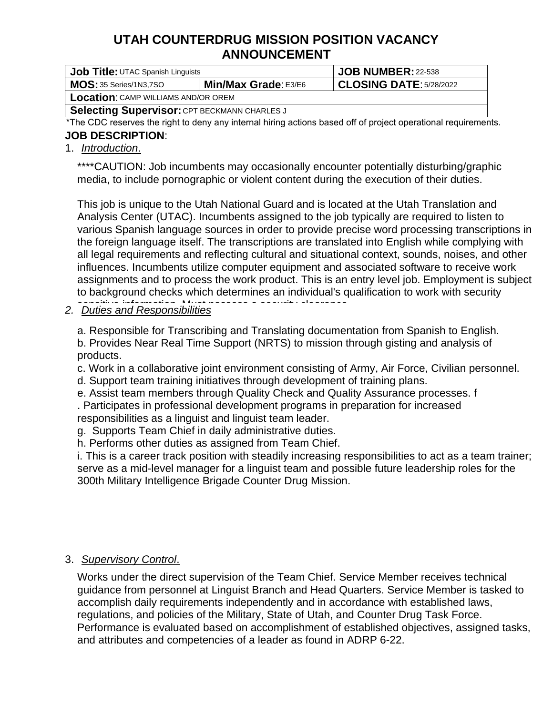# **UTAH COUNTERDRUG MISSION POSITION VACANCY ANNOUNCEMENT**

| Job Title: UTAC Spanish Linguists                   | JOB NUMBER: 22-538          |                         |  |  |  |  |  |  |  |
|-----------------------------------------------------|-----------------------------|-------------------------|--|--|--|--|--|--|--|
| MOS: 35 Series/1N3,7SO                              | <b>Min/Max Grade: E3/E6</b> | CLOSING DATE: 5/28/2022 |  |  |  |  |  |  |  |
| <b>Location:</b> CAMP WILLIAMS AND/OR OREM          |                             |                         |  |  |  |  |  |  |  |
| <b>Selecting Supervisor: CPT BECKMANN CHARLES J</b> |                             |                         |  |  |  |  |  |  |  |

\*The CDC reserves the right to deny any internal hiring actions based off of project operational requirements.

### **JOB DESCRIPTION**:

### 1. *Introduction*.

\*\*\*\*CAUTION: Job incumbents may occasionally encounter potentially disturbing/graphic media, to include pornographic or violent content during the execution of their duties.

This job is unique to the Utah National Guard and is located at the Utah Translation and Analysis Center (UTAC). Incumbents assigned to the job typically are required to listen to various Spanish language sources in order to provide precise word processing transcriptions in the foreign language itself. The transcriptions are translated into English while complying with all legal requirements and reflecting cultural and situational context, sounds, noises, and other influences. Incumbents utilize computer equipment and associated software to receive work assignments and to process the work product. This is an entry level job. Employment is subject to background checks which determines an individual's qualification to work with security

# *2. Duties and Responsibilities* sensitive information. Must possess a security clearance.

a. Responsible for Transcribing and Translating documentation from Spanish to English. b. Provides Near Real Time Support (NRTS) to mission through gisting and analysis of products.

c. Work in a collaborative joint environment consisting of Army, Air Force, Civilian personnel.

d. Support team training initiatives through development of training plans.

e. Assist team members through Quality Check and Quality Assurance processes. f

. Participates in professional development programs in preparation for increased responsibilities as a linguist and linguist team leader.

g. Supports Team Chief in daily administrative duties.

h. Performs other duties as assigned from Team Chief.

i. This is a career track position with steadily increasing responsibilities to act as a team trainer; serve as a mid-level manager for a linguist team and possible future leadership roles for the 300th Military Intelligence Brigade Counter Drug Mission.

### 3. *Supervisory Control*.

Works under the direct supervision of the Team Chief. Service Member receives technical guidance from personnel at Linguist Branch and Head Quarters. Service Member is tasked to accomplish daily requirements independently and in accordance with established laws, regulations, and policies of the Military, State of Utah, and Counter Drug Task Force. Performance is evaluated based on accomplishment of established objectives, assigned tasks, and attributes and competencies of a leader as found in ADRP 6-22.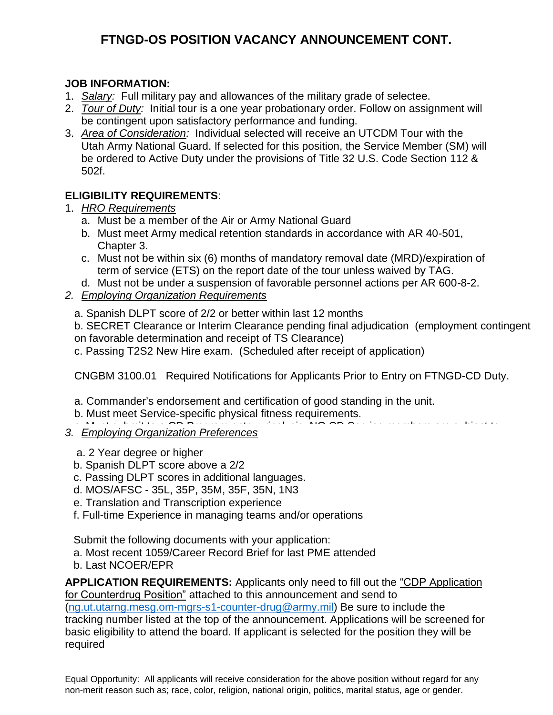## **FTNGD-OS POSITION VACANCY ANNOUNCEMENT CONT.**

#### **JOB INFORMATION:**

- 1. *Salary:* Full military pay and allowances of the military grade of selectee.
- 2. *Tour of Duty:*Initial tour is a one year probationary order. Follow on assignment will be contingent upon satisfactory performance and funding.
- 3. *Area of Consideration:* Individual selected will receive an UTCDM Tour with the Utah Army National Guard. If selected for this position, the Service Member (SM) will be ordered to Active Duty under the provisions of Title 32 U.S. Code Section 112 & 502f.

### **ELIGIBILITY REQUIREMENTS**:

- 1. *HRO Requirements*
	- a. Must be a member of the Air or Army National Guard
	- b. Must meet Army medical retention standards in accordance with AR 40-501, Chapter 3.
	- c. Must not be within six (6) months of mandatory removal date (MRD)/expiration of term of service (ETS) on the report date of the tour unless waived by TAG.
	- d. Must not be under a suspension of favorable personnel actions per AR 600-8-2.

### *2. Employing Organization Requirements*

a. Spanish DLPT score of 2/2 or better within last 12 months

b. SECRET Clearance or Interim Clearance pending final adjudication (employment contingent on favorable determination and receipt of TS Clearance)

c. Passing T2S2 New Hire exam. (Scheduled after receipt of application)

CNGBM 3100.01 Required Notifications for Applicants Prior to Entry on FTNGD-CD Duty.

- a. Commander's endorsement and certification of good standing in the unit.
- b. Must meet Service-specific physical fitness requirements.
- **3. Employing Organization Preferences** <u>Linproving Organization in electrices</u>
	- a. 2 Year degree or higher any units of assignment during IDT, UTA, or assignment during IDT, UTA, or assignment during IDT, UTA, or assignment during IDT, UTA, or assignment during IDT, UTA, or assignment of assignment of
	- b. Spanish DLPT score above a 2/2
	- c. Passing DLPT scores in additional languages. The reference b. The reference b. The reference b. The reference b. The reference b. The reference b. The reference b. The reference b. The reference b. The reference b. The
	- d. MOS/AFSC 35L, 35P, 35M, 35F, 35N, 1N3
	- e. Translation and Transcription experience information or operational plans are entropy in the sensitive information
	- f. Full-time Experience in managing teams and/or operations

Submit the following documents with your application:

- a. Most recent 1059/Career Record Brief for last PME attended
- b. Last NCOER/EPR in outside employment, and paragraph 5(a) if they desire to engage in outside employment, they desire to engage in outside employment, and they desire to engage in outside employment, and the set of the s

**APPLICATION REQUIREMENTS:** Applicants only need to fill out the "CDP Application AT FEISATION REQUIREMENTO: Applicants only ficca to hill out the <u>TODF Application</u><br>for Counterdrug Position" attached to this announcement and send to or counterundy restant attached to this announcement and send to  $log\_P$  and  $log\_P$ tracking number listed at the top of the announcement. Applications will be screened for basic eligibility to attend the board. If applicant is selected for the position they will be required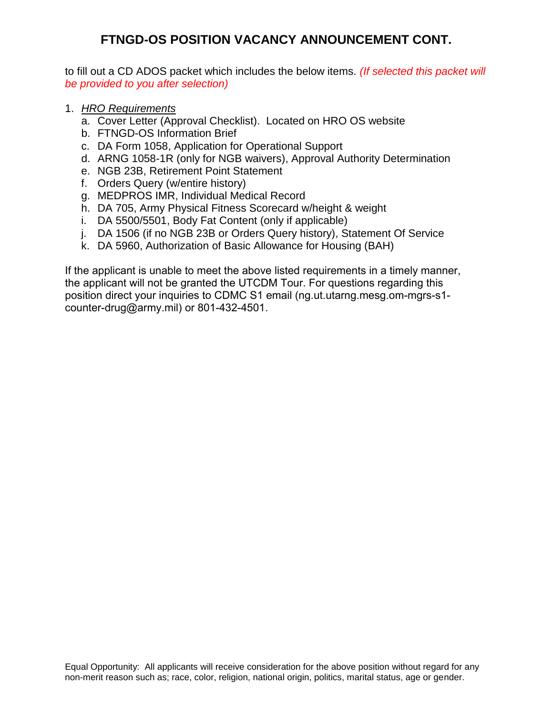### **FTNGD-OS POSITION VACANCY ANNOUNCEMENT CONT.**

to fill out a CD ADOS packet which includes the below items. *(If selected this packet will be provided to you after selection)*

- 1. *HRO Requirements*
	- a. Cover Letter (Approval Checklist). Located on HRO OS website
	- b. FTNGD-OS Information Brief
	- c. DA Form 1058, Application for Operational Support
	- d. ARNG 1058-1R (only for NGB waivers), Approval Authority Determination
	- e. NGB 23B, Retirement Point Statement
	- f. Orders Query (w/entire history)
	- g. MEDPROS IMR, Individual Medical Record
	- h. DA 705, Army Physical Fitness Scorecard w/height & weight
	- i. DA 5500/5501, Body Fat Content (only if applicable)
	- j. DA 1506 (if no NGB 23B or Orders Query history), Statement Of Service
	- k. DA 5960, Authorization of Basic Allowance for Housing (BAH)

If the applicant is unable to meet the above listed requirements in a timely manner, the applicant will not be granted the UTCDM Tour. For questions regarding this position direct your inquiries to CDMC S1 email (ng.ut.utarng.mesg.om-mgrs-s1 [counter-drug@army.mil\) or 80](mailto:lance.e.baxter2.mil@mail.mil)1-432-4501.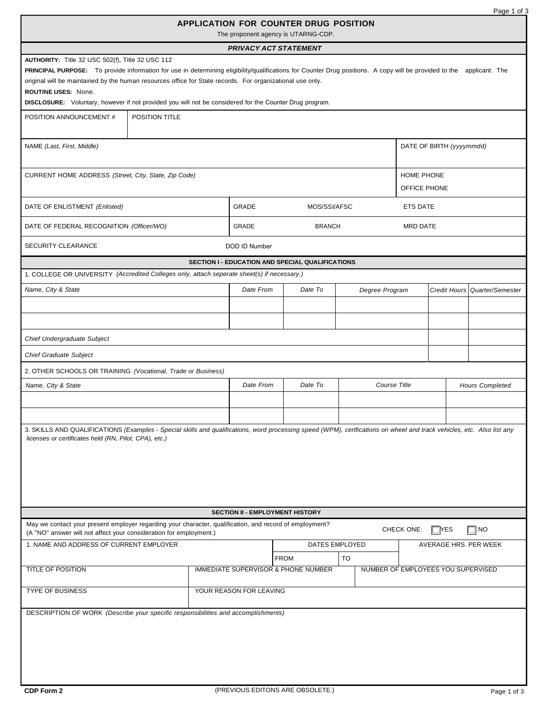|                                                                                                                                                                                                                                                                                                                                                                                                                             |                                                        |  |                                     |                |                 |                                    | Page 1 of 3      |  |
|-----------------------------------------------------------------------------------------------------------------------------------------------------------------------------------------------------------------------------------------------------------------------------------------------------------------------------------------------------------------------------------------------------------------------------|--------------------------------------------------------|--|-------------------------------------|----------------|-----------------|------------------------------------|------------------|--|
|                                                                                                                                                                                                                                                                                                                                                                                                                             | APPLICATION FOR COUNTER DRUG POSITION                  |  | The proponent agency is UTARNG-CDP. |                |                 |                                    |                  |  |
|                                                                                                                                                                                                                                                                                                                                                                                                                             |                                                        |  | <b>PRIVACY ACT STATEMENT</b>        |                |                 |                                    |                  |  |
| AUTHORITY: Title 32 USC 502(f), Title 32 USC 112                                                                                                                                                                                                                                                                                                                                                                            |                                                        |  |                                     |                |                 |                                    |                  |  |
| PRINCIPAL PURPOSE: To provide information for use in determining eligibility/qualifications for Counter Drug positions. A copy will be provided to the applicant. The<br>original will be maintained by the human resources office for State records. For organizational use only.<br>ROUTINE USES: None.<br><b>DISCLOSURE:</b> Voluntary, however if not provided you will not be considered for the Counter Drug program. |                                                        |  |                                     |                |                 |                                    |                  |  |
| POSITION TITLE<br>POSITION ANNOUNCEMENT #                                                                                                                                                                                                                                                                                                                                                                                   |                                                        |  |                                     |                |                 |                                    |                  |  |
|                                                                                                                                                                                                                                                                                                                                                                                                                             |                                                        |  |                                     |                |                 |                                    |                  |  |
| NAME (Last, First, Middle)                                                                                                                                                                                                                                                                                                                                                                                                  |                                                        |  |                                     |                |                 | DATE OF BIRTH (yyyymmdd)           |                  |  |
| HOME PHONE<br>CURRENT HOME ADDRESS (Street, City, State, Zip Code)<br>OFFICE PHONE                                                                                                                                                                                                                                                                                                                                          |                                                        |  |                                     |                |                 |                                    |                  |  |
| DATE OF ENLISTMENT (Enlisted)                                                                                                                                                                                                                                                                                                                                                                                               | GRADE                                                  |  | MOS/SSI/AFSC                        |                | <b>ETS DATE</b> |                                    |                  |  |
| DATE OF FEDERAL RECOGNITION (Officer/WO)                                                                                                                                                                                                                                                                                                                                                                                    | GRADE                                                  |  | <b>BRANCH</b>                       |                | <b>MRD DATE</b> |                                    |                  |  |
| <b>SECURITY CLEARANCE</b>                                                                                                                                                                                                                                                                                                                                                                                                   | DOD ID Number                                          |  |                                     |                |                 |                                    |                  |  |
|                                                                                                                                                                                                                                                                                                                                                                                                                             | SECTION I - EDUCATION AND SPECIAL QUALIFICATIONS       |  |                                     |                |                 |                                    |                  |  |
| 1. COLLEGE OR UNIVERSITY (Accredited Colleges only, attach seperate sheet(s) if necessary.)                                                                                                                                                                                                                                                                                                                                 |                                                        |  |                                     |                |                 |                                    |                  |  |
| Name, City & State                                                                                                                                                                                                                                                                                                                                                                                                          | Date From                                              |  | Date To                             | Degree Program |                 | <b>Credit Hours</b>                | Quarter/Semester |  |
|                                                                                                                                                                                                                                                                                                                                                                                                                             |                                                        |  |                                     |                |                 |                                    |                  |  |
| Chief Undergraduate Subject                                                                                                                                                                                                                                                                                                                                                                                                 |                                                        |  |                                     |                |                 |                                    |                  |  |
| Chief Graduate Subject                                                                                                                                                                                                                                                                                                                                                                                                      |                                                        |  |                                     |                |                 |                                    |                  |  |
| 2. OTHER SCHOOLS OR TRAINING (Vocational, Trade or Business)                                                                                                                                                                                                                                                                                                                                                                |                                                        |  |                                     |                |                 |                                    |                  |  |
| Name, City & State                                                                                                                                                                                                                                                                                                                                                                                                          | Date From                                              |  | Date To                             | Course Title   |                 | <b>Hours Completed</b>             |                  |  |
|                                                                                                                                                                                                                                                                                                                                                                                                                             |                                                        |  |                                     |                |                 |                                    |                  |  |
|                                                                                                                                                                                                                                                                                                                                                                                                                             |                                                        |  |                                     |                |                 |                                    |                  |  |
| 3. SKILLS AND QUALIFICATIONS (Examples - Special skills and qualifications, word processing speed (WPM), certfications on wheel and track vehicles, etc. Also list any<br>licenses or certificates held (RN, Pilot, CPA), etc.)                                                                                                                                                                                             |                                                        |  |                                     |                |                 |                                    |                  |  |
|                                                                                                                                                                                                                                                                                                                                                                                                                             | <b>SECTION II - EMPLOYMENT HISTORY</b>                 |  |                                     |                |                 |                                    |                  |  |
| May we contact your present employer regarding your character, qualification, and record of employment?<br>CHECK ONE:<br>$\Box$ YES<br><b>NO</b><br>(A "NO" answer will not affect your consideration for employment.)                                                                                                                                                                                                      |                                                        |  |                                     |                |                 |                                    |                  |  |
| 1. NAME AND ADDRESS OF CURRENT EMPLOYER                                                                                                                                                                                                                                                                                                                                                                                     | DATES EMPLOYED<br>AVERAGE HRS. PER WEEK<br><b>FROM</b> |  |                                     |                |                 |                                    |                  |  |
| TITLE OF POSITION                                                                                                                                                                                                                                                                                                                                                                                                           | IMMEDIATE SUPERVISOR & PHONE NUMBER                    |  |                                     | TO             |                 | NUMBER OF EMPLOYEES YOU SUPERVISED |                  |  |
| YOUR REASON FOR LEAVING<br><b>TYPE OF BUSINESS</b>                                                                                                                                                                                                                                                                                                                                                                          |                                                        |  |                                     |                |                 |                                    |                  |  |
| DESCRIPTION OF WORK (Describe your specific responsibilities and accomplishments)                                                                                                                                                                                                                                                                                                                                           |                                                        |  |                                     |                |                 |                                    |                  |  |
|                                                                                                                                                                                                                                                                                                                                                                                                                             |                                                        |  |                                     |                |                 |                                    |                  |  |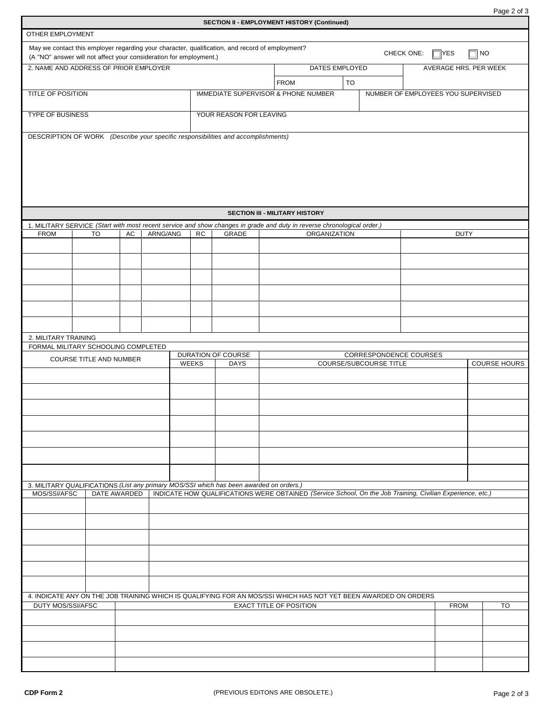Page 2 of 3

| <b>SECTION II - EMPLOYMENT HISTORY (Continued)</b>                 |                         |  |              |          |  |                                                                          |                                                                                                 |                |                                                                                                                                                   |    |                                    |                       |             |             |                     |
|--------------------------------------------------------------------|-------------------------|--|--------------|----------|--|--------------------------------------------------------------------------|-------------------------------------------------------------------------------------------------|----------------|---------------------------------------------------------------------------------------------------------------------------------------------------|----|------------------------------------|-----------------------|-------------|-------------|---------------------|
| OTHER EMPLOYMENT                                                   |                         |  |              |          |  |                                                                          |                                                                                                 |                |                                                                                                                                                   |    |                                    |                       |             |             |                     |
| (A "NO" answer will not affect your consideration for employment.) |                         |  |              |          |  |                                                                          | May we contact this employer regarding your character, qualification, and record of employment? |                |                                                                                                                                                   |    |                                    | CHECK ONE:            | $\Box$ YES  | $\Box$ No   |                     |
| 2. NAME AND ADDRESS OF PRIOR EMPLOYER                              |                         |  |              |          |  |                                                                          |                                                                                                 | DATES EMPLOYED |                                                                                                                                                   |    |                                    | AVERAGE HRS. PER WEEK |             |             |                     |
|                                                                    |                         |  |              |          |  |                                                                          |                                                                                                 |                | <b>FROM</b><br><b>IMMEDIATE SUPERVISOR &amp; PHONE NUMBER</b>                                                                                     | TO | NUMBER OF EMPLOYEES YOU SUPERVISED |                       |             |             |                     |
| <b>TITLE OF POSITION</b>                                           |                         |  |              |          |  |                                                                          |                                                                                                 |                |                                                                                                                                                   |    |                                    |                       |             |             |                     |
| <b>TYPE OF BUSINESS</b>                                            |                         |  |              |          |  |                                                                          | YOUR REASON FOR LEAVING                                                                         |                |                                                                                                                                                   |    |                                    |                       |             |             |                     |
|                                                                    |                         |  |              |          |  |                                                                          | DESCRIPTION OF WORK (Describe your specific responsibilities and accomplishments)               |                |                                                                                                                                                   |    |                                    |                       |             |             |                     |
|                                                                    |                         |  |              |          |  |                                                                          |                                                                                                 |                | <b>SECTION III - MILITARY HISTORY</b>                                                                                                             |    |                                    |                       |             |             |                     |
|                                                                    |                         |  |              |          |  |                                                                          |                                                                                                 |                | 1. MILITARY SERVICE (Start with most recent service and show changes in grade and duty in reverse chronological order.)                           |    |                                    |                       |             |             |                     |
| <b>FROM</b>                                                        | TO                      |  | AC           | ARNG/ANG |  | RC                                                                       | <b>GRADE</b>                                                                                    |                | <b>ORGANIZATION</b>                                                                                                                               |    |                                    |                       |             | <b>DUTY</b> |                     |
|                                                                    |                         |  |              |          |  |                                                                          |                                                                                                 |                |                                                                                                                                                   |    |                                    |                       |             |             |                     |
|                                                                    |                         |  |              |          |  |                                                                          |                                                                                                 |                |                                                                                                                                                   |    |                                    |                       |             |             |                     |
|                                                                    |                         |  |              |          |  |                                                                          |                                                                                                 |                |                                                                                                                                                   |    |                                    |                       |             |             |                     |
|                                                                    |                         |  |              |          |  |                                                                          |                                                                                                 |                |                                                                                                                                                   |    |                                    |                       |             |             |                     |
|                                                                    |                         |  |              |          |  |                                                                          |                                                                                                 |                |                                                                                                                                                   |    |                                    |                       |             |             |                     |
|                                                                    |                         |  |              |          |  |                                                                          |                                                                                                 |                |                                                                                                                                                   |    |                                    |                       |             |             |                     |
| 2. MILITARY TRAINING                                               |                         |  |              |          |  |                                                                          |                                                                                                 |                |                                                                                                                                                   |    |                                    |                       |             |             |                     |
| FORMAL MILITARY SCHOOLING COMPLETED                                |                         |  |              |          |  |                                                                          | <b>DURATION OF COURSE</b>                                                                       |                |                                                                                                                                                   |    |                                    |                       |             |             |                     |
|                                                                    | COURSE TITLE AND NUMBER |  |              |          |  | CORRESPONDENCE COURSES<br>WEEKS<br>COURSE/SUBCOURSE TITLE<br><b>DAYS</b> |                                                                                                 |                |                                                                                                                                                   |    |                                    |                       |             |             | <b>COURSE HOURS</b> |
|                                                                    |                         |  |              |          |  |                                                                          |                                                                                                 |                |                                                                                                                                                   |    |                                    |                       |             |             |                     |
|                                                                    |                         |  |              |          |  |                                                                          |                                                                                                 |                |                                                                                                                                                   |    |                                    |                       |             |             |                     |
|                                                                    |                         |  |              |          |  |                                                                          |                                                                                                 |                |                                                                                                                                                   |    |                                    |                       |             |             |                     |
|                                                                    |                         |  |              |          |  |                                                                          |                                                                                                 |                |                                                                                                                                                   |    |                                    |                       |             |             |                     |
|                                                                    |                         |  |              |          |  |                                                                          |                                                                                                 |                |                                                                                                                                                   |    |                                    |                       |             |             |                     |
|                                                                    |                         |  |              |          |  |                                                                          |                                                                                                 |                |                                                                                                                                                   |    |                                    |                       |             |             |                     |
|                                                                    |                         |  |              |          |  |                                                                          |                                                                                                 |                |                                                                                                                                                   |    |                                    |                       |             |             |                     |
|                                                                    |                         |  |              |          |  |                                                                          | 3. MILITARY QUALIFICATIONS (List any primary MOS/SSI which has been awarded on orders.)         |                |                                                                                                                                                   |    |                                    |                       |             |             |                     |
| MOS/SSI/AFSC                                                       |                         |  | DATE AWARDED |          |  |                                                                          |                                                                                                 |                | INDICATE HOW QUALIFICATIONS WERE OBTAINED (Service School, On the Job Training, Civilian Experience, etc.)                                        |    |                                    |                       |             |             |                     |
|                                                                    |                         |  |              |          |  |                                                                          |                                                                                                 |                |                                                                                                                                                   |    |                                    |                       |             |             |                     |
|                                                                    |                         |  |              |          |  |                                                                          |                                                                                                 |                |                                                                                                                                                   |    |                                    |                       |             |             |                     |
|                                                                    |                         |  |              |          |  |                                                                          |                                                                                                 |                |                                                                                                                                                   |    |                                    |                       |             |             |                     |
|                                                                    |                         |  |              |          |  |                                                                          |                                                                                                 |                |                                                                                                                                                   |    |                                    |                       |             |             |                     |
|                                                                    |                         |  |              |          |  |                                                                          |                                                                                                 |                |                                                                                                                                                   |    |                                    |                       |             |             |                     |
|                                                                    |                         |  |              |          |  |                                                                          |                                                                                                 |                |                                                                                                                                                   |    |                                    |                       |             |             |                     |
| DUTY MOS/SSI/AFSC                                                  |                         |  |              |          |  |                                                                          |                                                                                                 |                | 4. INDICATE ANY ON THE JOB TRAINING WHICH IS QUALIFYING FOR AN MOS/SSI WHICH HAS NOT YET BEEN AWARDED ON ORDERS<br><b>EXACT TITLE OF POSITION</b> |    |                                    |                       | <b>FROM</b> |             | TO                  |
|                                                                    |                         |  |              |          |  |                                                                          |                                                                                                 |                |                                                                                                                                                   |    |                                    |                       |             |             |                     |
|                                                                    |                         |  |              |          |  |                                                                          |                                                                                                 |                |                                                                                                                                                   |    |                                    |                       |             |             |                     |
|                                                                    |                         |  |              |          |  |                                                                          |                                                                                                 |                |                                                                                                                                                   |    |                                    |                       |             |             |                     |
|                                                                    |                         |  |              |          |  |                                                                          |                                                                                                 |                |                                                                                                                                                   |    |                                    |                       |             |             |                     |
|                                                                    |                         |  |              |          |  |                                                                          |                                                                                                 |                |                                                                                                                                                   |    |                                    |                       |             |             |                     |